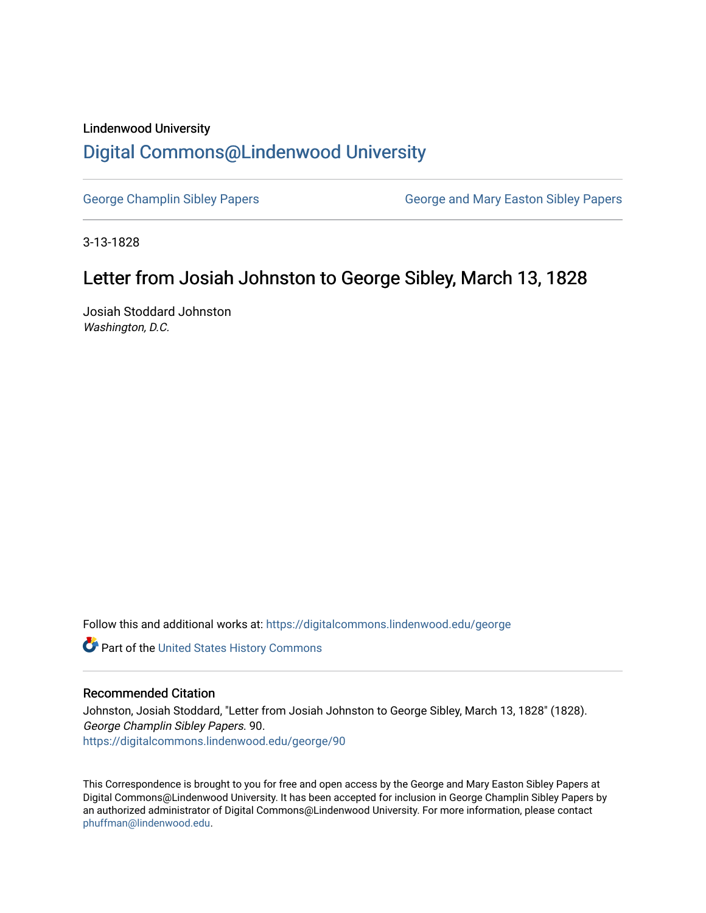### Lindenwood University

# [Digital Commons@Lindenwood University](https://digitalcommons.lindenwood.edu/)

[George Champlin Sibley Papers](https://digitalcommons.lindenwood.edu/george) George and Mary Easton Sibley Papers

3-13-1828

## Letter from Josiah Johnston to George Sibley, March 13, 1828

Josiah Stoddard Johnston Washington, D.C.

Follow this and additional works at: [https://digitalcommons.lindenwood.edu/george](https://digitalcommons.lindenwood.edu/george?utm_source=digitalcommons.lindenwood.edu%2Fgeorge%2F90&utm_medium=PDF&utm_campaign=PDFCoverPages)

Part of the [United States History Commons](http://network.bepress.com/hgg/discipline/495?utm_source=digitalcommons.lindenwood.edu%2Fgeorge%2F90&utm_medium=PDF&utm_campaign=PDFCoverPages) 

#### Recommended Citation

Johnston, Josiah Stoddard, "Letter from Josiah Johnston to George Sibley, March 13, 1828" (1828). George Champlin Sibley Papers. 90. [https://digitalcommons.lindenwood.edu/george/90](https://digitalcommons.lindenwood.edu/george/90?utm_source=digitalcommons.lindenwood.edu%2Fgeorge%2F90&utm_medium=PDF&utm_campaign=PDFCoverPages) 

This Correspondence is brought to you for free and open access by the George and Mary Easton Sibley Papers at Digital Commons@Lindenwood University. It has been accepted for inclusion in George Champlin Sibley Papers by an authorized administrator of Digital Commons@Lindenwood University. For more information, please contact [phuffman@lindenwood.edu](mailto:phuffman@lindenwood.edu).